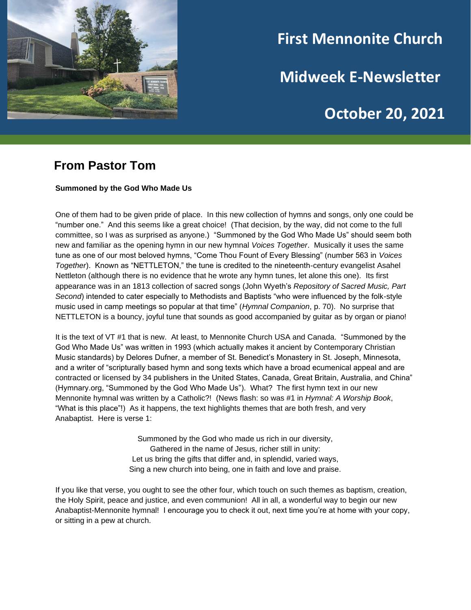

# **First Mennonite Church**

**Midweek E-Newsletter**

# **October 20, 2021**

**202120212021**

### **From Pastor Tom**

#### **Summoned by the God Who Made Us**

One of them had to be given pride of place. In this new collection of hymns and songs, only one could be "number one." And this seems like a great choice! (That decision, by the way, did not come to the full committee, so I was as surprised as anyone.) "Summoned by the God Who Made Us" should seem both new and familiar as the opening hymn in our new hymnal *Voices Together*. Musically it uses the same tune as one of our most beloved hymns, "Come Thou Fount of Every Blessing" (number 563 in *Voices Together*). Known as "NETTLETON," the tune is credited to the nineteenth-century evangelist Asahel Nettleton (although there is no evidence that he wrote any hymn tunes, let alone this one). Its first appearance was in an 1813 collection of sacred songs (John Wyeth's *Repository of Sacred Music, Part Second*) intended to cater especially to Methodists and Baptists "who were influenced by the folk-style music used in camp meetings so popular at that time" (*Hymnal Companion*, p. 70). No surprise that NETTLETON is a bouncy, joyful tune that sounds as good accompanied by guitar as by organ or piano!

It is the text of VT #1 that is new. At least, to Mennonite Church USA and Canada. "Summoned by the God Who Made Us" was written in 1993 (which actually makes it ancient by Contemporary Christian Music standards) by Delores Dufner, a member of St. Benedict's Monastery in St. Joseph, Minnesota, and a writer of "scripturally based hymn and song texts which have a broad ecumenical appeal and are contracted or licensed by 34 publishers in the United States, Canada, Great Britain, Australia, and China" (Hymnary.org, "Summoned by the God Who Made Us"). What? The first hymn text in our new Mennonite hymnal was written by a Catholic?! (News flash: so was #1 in *Hymnal: A Worship Book*, "What is this place"!) As it happens, the text highlights themes that are both fresh, and very Anabaptist. Here is verse 1:

> Summoned by the God who made us rich in our diversity, Gathered in the name of Jesus, richer still in unity: Let us bring the gifts that differ and, in splendid, varied ways, Sing a new church into being, one in faith and love and praise.

If you like that verse, you ought to see the other four, which touch on such themes as baptism, creation, the Holy Spirit, peace and justice, and even communion! All in all, a wonderful way to begin our new Anabaptist-Mennonite hymnal! I encourage you to check it out, next time you're at home with your copy, or sitting in a pew at church.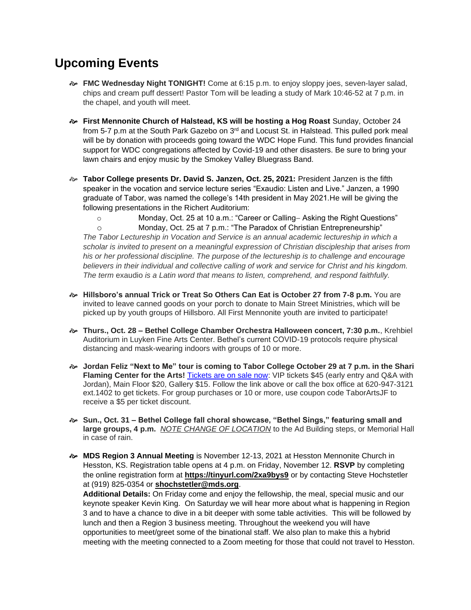## **Upcoming Events**

- **FMC Wednesday Night TONIGHT!** Come at 6:15 p.m. to enjoy sloppy joes, seven-layer salad, chips and cream puff dessert! Pastor Tom will be leading a study of Mark 10:46-52 at 7 p.m. in the chapel, and youth will meet.
- **First Mennonite Church of Halstead, KS will be hosting a Hog Roast** Sunday, October 24 from 5-7 p.m at the South Park Gazebo on 3<sup>rd</sup> and Locust St. in Halstead. This pulled pork meal will be by donation with proceeds going toward the WDC Hope Fund. This fund provides financial support for WDC congregations affected by Covid-19 and other disasters. Be sure to bring your lawn chairs and enjoy music by the Smokey Valley Bluegrass Band.
- **Tabor College presents Dr. David S. Janzen, Oct. 25, 2021:** President Janzen is the fifth speaker in the vocation and service lecture series "Exaudio: Listen and Live." Janzen, a 1990 graduate of Tabor, was named the college's 14th president in May 2021.He will be giving the following presentations in the Richert Auditorium:
	- o Monday, Oct. 25 at 10 a.m.: "Career or Calling− Asking the Right Questions"

o Monday, Oct. 25 at 7 p.m.: "The Paradox of Christian Entrepreneurship" *The Tabor Lectureship in Vocation and Service is an annual academic lectureship in which a scholar is invited to present on a meaningful expression of Christian discipleship that arises from his or her professional discipline. The purpose of the lectureship is to challenge and encourage believers in their individual and collective calling of work and service for Christ and his kingdom. The term* exaudio *is a Latin word that means to listen, comprehend, and respond faithfully.*

- **Hillsboro's annual Trick or Treat So Others Can Eat is October 27 from 7-8 p.m.** You are invited to leave canned goods on your porch to donate to Main Street Ministries, which will be picked up by youth groups of Hillsboro. All First Mennonite youth are invited to participate!
- **Thurs., Oct. 28 – Bethel College Chamber Orchestra Halloween concert, 7:30 p.m.**, Krehbiel Auditorium in Luyken Fine Arts Center. Bethel's current COVID-19 protocols require physical distancing and mask-wearing indoors with groups of 10 or more.
- **Jordan Feliz "Next to Me" tour is coming to Tabor College October 29 at 7 p.m. in the Shari Flaming Center for the Arts!** [Tickets are on sale now:](https://tabor.universitytickets.com/w/event.aspx?id=1523&r=ad091ac1ff3a49beab299adb20854950) VIP tickets \$45 (early entry and Q&A with Jordan), Main Floor \$20, Gallery \$15. Follow the link above or call the box office at 620-947-3121 ext.1402 to get tickets. For group purchases or 10 or more, use coupon code TaborArtsJF to receive a \$5 per ticket discount.
- **Sun., Oct. 31 – Bethel College fall choral showcase, "Bethel Sings," featuring small and large groups, 4 p.m.** *NOTE CHANGE OF LOCATION* to the Ad Building steps, or Memorial Hall in case of rain.
- **MDS Region 3 Annual Meeting** is November 12-13, 2021 at Hesston Mennonite Church in Hesston, KS. Registration table opens at 4 p.m. on Friday, November 12. **RSVP** by completing the online registration form at **[https://tinyurl.com/2xa9bys9](https://r20.rs6.net/tn.jsp?f=001Ies4oAkwWVxR74V5CLBH_XPMFRLbzqAsWvd0bwg5DgCtaaQDvzhCbiQT95p1F7j9GYo2IN4nWB2xCw2cSjZX9284UGmEMGfMO7cptqs6RRPW3HBXYtBDMbm-CmL6RN-VUWd_LuraOB69PWl3ke9JrmmqyLIxDBJk&c=29Vx49HcS6VuMzZw4j-md_lNu8D2Mr-R2eArpl_a0b7ZTra0aqme6Q==&ch=pxRrqVHYaf1QsLaDEMAdO8iFoPOtj4tE5NPsz1oJYn-gTd0JyCuH9A==)** or by contacting Steve Hochstetler at (919) 825-0354 or **[shochstetler@mds.org](mailto:shochstetler@mds.org)**.

**Additional Details:** On Friday come and enjoy the fellowship, the meal, special music and our keynote speaker Kevin King. On Saturday we will hear more about what is happening in Region 3 and to have a chance to dive in a bit deeper with some table activities. This will be followed by lunch and then a Region 3 business meeting. Throughout the weekend you will have opportunities to meet/greet some of the binational staff. We also plan to make this a hybrid meeting with the meeting connected to a Zoom meeting for those that could not travel to Hesston.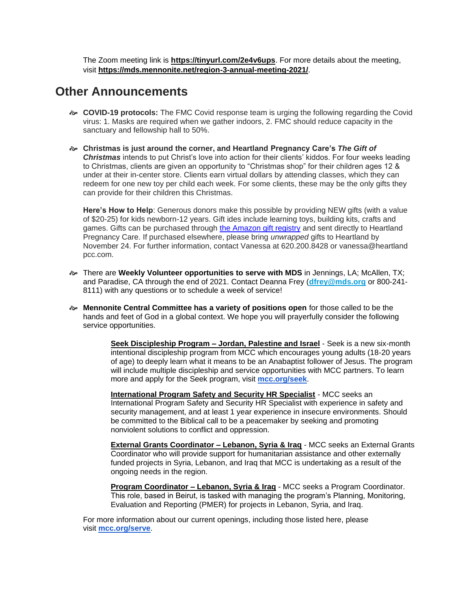The Zoom meeting link is **[https://tinyurl.com/2e4v6ups](https://r20.rs6.net/tn.jsp?f=001Ies4oAkwWVxR74V5CLBH_XPMFRLbzqAsWvd0bwg5DgCtaaQDvzhCbrxGV8ZRwY8YzkTLL-TcbNiBlomapL5SPoROehfeZUbyL_qtxLF0m39pzGvH44T4vJ1qulFQDOF4hSTg3_CUM6Qs9-LptO5xFw==&c=29Vx49HcS6VuMzZw4j-md_lNu8D2Mr-R2eArpl_a0b7ZTra0aqme6Q==&ch=pxRrqVHYaf1QsLaDEMAdO8iFoPOtj4tE5NPsz1oJYn-gTd0JyCuH9A==)**. For more details about the meeting, visit **[https://mds.mennonite.net/region-3-annual-meeting-2021/](https://r20.rs6.net/tn.jsp?f=001Ies4oAkwWVxR74V5CLBH_XPMFRLbzqAsWvd0bwg5DgCtaaQDvzhCbiQT95p1F7j9Oq79dCzndKanIPLehQzZyYCrjhvN283KsaBdtkcJK7h1vfvNLniuoJaKVR_GhtU8a9SFFAK0pvkZ8pTUDAyxbiO4vCbTur7qdDuN5oAU0m4UtrfTH3PRc6NmXaT-zuA-&c=29Vx49HcS6VuMzZw4j-md_lNu8D2Mr-R2eArpl_a0b7ZTra0aqme6Q==&ch=pxRrqVHYaf1QsLaDEMAdO8iFoPOtj4tE5NPsz1oJYn-gTd0JyCuH9A==)**.

### **Other Announcements**

- **COVID-19 protocols:** The FMC Covid response team is urging the following regarding the Covid virus: 1. Masks are required when we gather indoors, 2. FMC should reduce capacity in the sanctuary and fellowship hall to 50%.
- **Christmas is just around the corner, and Heartland Pregnancy Care's** *The Gift of Christmas* intends to put Christ's love into action for their clients' kiddos. For four weeks leading to Christmas, clients are given an opportunity to "Christmas shop" for their children ages 12 & under at their in-center store. Clients earn virtual dollars by attending classes, which they can redeem for one new toy per child each week. For some clients, these may be the only gifts they can provide for their children this Christmas.

**Here's How to Help**: Generous donors make this possible by providing NEW gifts (with a value of \$20-25) for kids newborn-12 years. Gift ides include learning toys, building kits, crafts and games. Gifts can be purchased through [the Amazon gift registry](https://smile.amazon.com/registries/holiday/2Q1TGC2VUIDLP/guest-view) and sent directly to Heartland Pregnancy Care. If purchased elsewhere, please bring *unwrapped* gifts to Heartland by November 24. For further information, contact Vanessa at 620.200.8428 or vanessa@heartland pcc.com.

- There are **Weekly Volunteer opportunities to serve with MDS** in Jennings, LA; McAllen, TX; and Paradise, CA through the end of 2021. Contact Deanna Frey (**[dfrey@mds.org](mailto:dfrey@mds.org)** or 800-241- 8111) with any questions or to schedule a week of service!
- **Mennonite Central Committee has a variety of positions open** for those called to be the hands and feet of God in a global context. We hope you will prayerfully consider the following service opportunities.

**Seek Discipleship Program – Jordan, Palestine and Israel** - Seek is a new six-month intentional discipleship program from MCC which encourages young adults (18-20 years of age) to deeply learn what it means to be an Anabaptist follower of Jesus. The program will include multiple discipleship and service opportunities with MCC partners. To learn more and apply for the Seek program, visit **[mcc.org/seek](http://mcc.org/seek)**.

**International Program Safety and Security HR Specialist** - MCC seeks an International Program Safety and Security HR Specialist with experience in safety and security management, and at least 1 year experience in insecure environments. Should be committed to the Biblical call to be a peacemaker by seeking and promoting nonviolent solutions to conflict and oppression.

**External Grants Coordinator – Lebanon, Syria & Iraq** - MCC seeks an External Grants Coordinator who will provide support for humanitarian assistance and other externally funded projects in Syria, Lebanon, and Iraq that MCC is undertaking as a result of the ongoing needs in the region.

**Program Coordinator – Lebanon, Syria & Iraq** - MCC seeks a Program Coordinator. This role, based in Beirut, is tasked with managing the program's Planning, Monitoring, Evaluation and Reporting (PMER) for projects in Lebanon, Syria, and Iraq.

For more information about our current openings, including those listed here, please visit **[mcc.org/serve](https://mcc.org/get-involved/serve/openings)**.